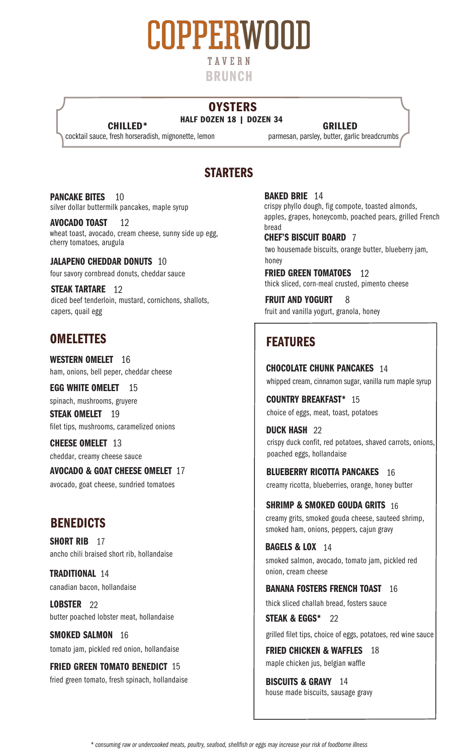

## **OYSTERS**

cocktail sauce, fresh horseradish, mignonette, lemon

**HALF DOZEN 18 | DOZEN 34**<br>**CHILLED** \* **GRILLED**<br>fresh horseradish, mignonette, lemon parmesan, parsley, butter, garlic breadcrumbs

# STARTERS

PANCAKE BITES silver dollar buttermilk pancakes, maple syrup 10

AVOCADO TOAST wheat toast, avocado, cream cheese, sunny side up egg, cherry tomatoes, arugula 12

JALAPENO CHEDDAR DONUTS 10 four savory cornbread donuts, cheddar sauce

STEAK TARTARE 12 diced beef tenderloin, mustard, cornichons, shallots, capers, quail egg

## OMELETTES FEATURES

WESTERN OMELET 16 ham, onions, bell peper, cheddar cheese

EGG WHITE OMELET 15 spinach, mushrooms, gruyere **STEAK OMELET** 19

filet tips, mushrooms, caramelized onions

**CHEESE OMELET** 13 cheddar, creamy cheese sauce

AVOCADO & GOAT CHEESE OMELET 17 avocado, goat cheese, sundried tomatoes

# **BENEDICTS**

SHORT RIB 17 ancho chili braised short rib, hollandaise

TRADITIONAL 14 canadian bacon, hollandaise

LOBSTER<sub>22</sub> butter poached lobster meat, hollandaise

SMOKED SALMON 16 tomato jam, pickled red onion, hollandaise

FRIED GREEN TOMATO BENEDICT 15 fried green tomato, fresh spinach, hollandaise BAKED BRIE 14 crispy phyllo dough, fig compote, toasted almonds, apples, grapes, honeycomb, poached pears, grilled French bread

CHEF'S BISCUIT BOARD 7 two housemade biscuits, orange butter, blueberry jam, honey

FRIED GREEN TOMATOES 12 thick sliced, corn-meal crusted, pimento cheese

FRUIT AND YOGURT 8 fruit and vanilla yogurt, granola, honey

CHOCOLATE CHUNK PANCAKES 14 whipped cream, cinnamon sugar, vanilla rum maple syrup

COUNTRY BREAKFAST\* 15 choice of eggs, meat, toast, potatoes

**DUCK HASH 22** crispy duck confit, red potatoes, shaved carrots, onions, poached eggs, hollandaise

BLUEBERRY RICOTTA PANCAKES 16 creamy ricotta, blueberries, orange, honey butter

SHRIMP & SMOKED GOUDA GRITS  $\,$   $_{16}$ creamy grits, smoked gouda cheese, sauteed shrimp, smoked ham, onions, peppers, cajun gravy

**BAGELS & LOX 14** smoked salmon, avocado, tomato jam, pickled red onion, cream cheese

BANANA FOSTERS FRENCH TOAST 16

thick sliced challah bread, fosters sauce

**STEAK & EGGS\*** 22 grilled filet tips, choice of eggs, potatoes, red wine sauce

FRIED CHICKEN & WAFFLES 18 maple chicken jus, belgian waffle

**BISCUITS & GRAVY** 14 house made biscuits, sausage gravy